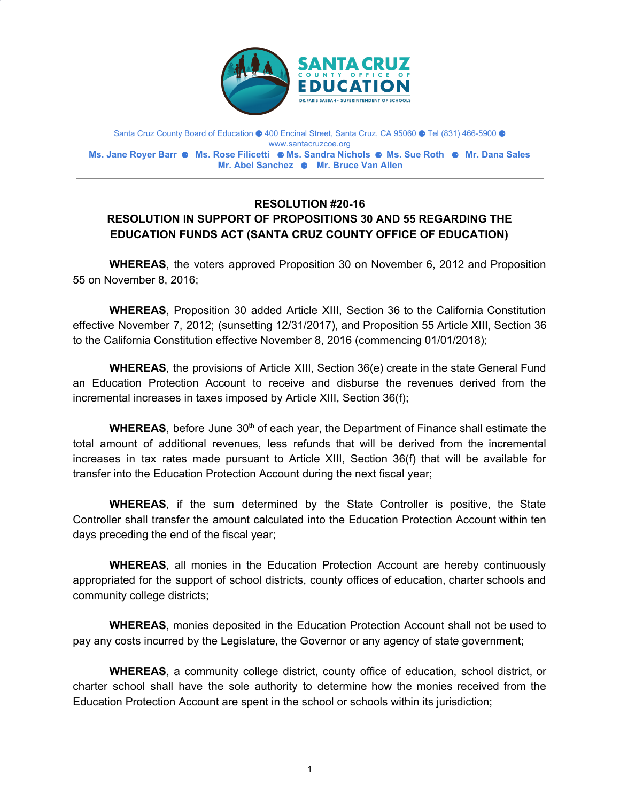

Santa Cruz County Board of Education ⚈ 400 Encinal Street, Santa Cruz, CA 95060 ⚈ Tel (831) 466-5900 ⚈ www.santacruzcoe.org **Ms. Jane Royer Barr** ⚈ **Ms. Rose Filicetti** ⚈ **Ms. Sandra Nichols** ⚈ **Ms. Sue Roth** ⚈ **Mr. Dana Sales Mr. Abel Sanchez** ⚈ **Mr. Bruce Van Allen**

## **RESOLUTION #20-16 RESOLUTION IN SUPPORT OF PROPOSITIONS 30 AND 55 REGARDING THE EDUCATION FUNDS ACT (SANTA CRUZ COUNTY OFFICE OF EDUCATION)**

**WHEREAS**, the voters approved Proposition 30 on November 6, 2012 and Proposition 55 on November 8, 2016;

**WHEREAS**, Proposition 30 added Article XIII, Section 36 to the California Constitution effective November 7, 2012; (sunsetting 12/31/2017), and Proposition 55 Article XIII, Section 36 to the California Constitution effective November 8, 2016 (commencing 01/01/2018);

**WHEREAS**, the provisions of Article XIII, Section 36(e) create in the state General Fund an Education Protection Account to receive and disburse the revenues derived from the incremental increases in taxes imposed by Article XIII, Section 36(f);

WHEREAS, before June 30<sup>th</sup> of each year, the Department of Finance shall estimate the total amount of additional revenues, less refunds that will be derived from the incremental increases in tax rates made pursuant to Article XIII, Section 36(f) that will be available for transfer into the Education Protection Account during the next fiscal year;

**WHEREAS**, if the sum determined by the State Controller is positive, the State Controller shall transfer the amount calculated into the Education Protection Account within ten days preceding the end of the fiscal year;

**WHEREAS**, all monies in the Education Protection Account are hereby continuously appropriated for the support of school districts, county offices of education, charter schools and community college districts;

**WHEREAS**, monies deposited in the Education Protection Account shall not be used to pay any costs incurred by the Legislature, the Governor or any agency of state government;

**WHEREAS**, a community college district, county office of education, school district, or charter school shall have the sole authority to determine how the monies received from the Education Protection Account are spent in the school or schools within its jurisdiction;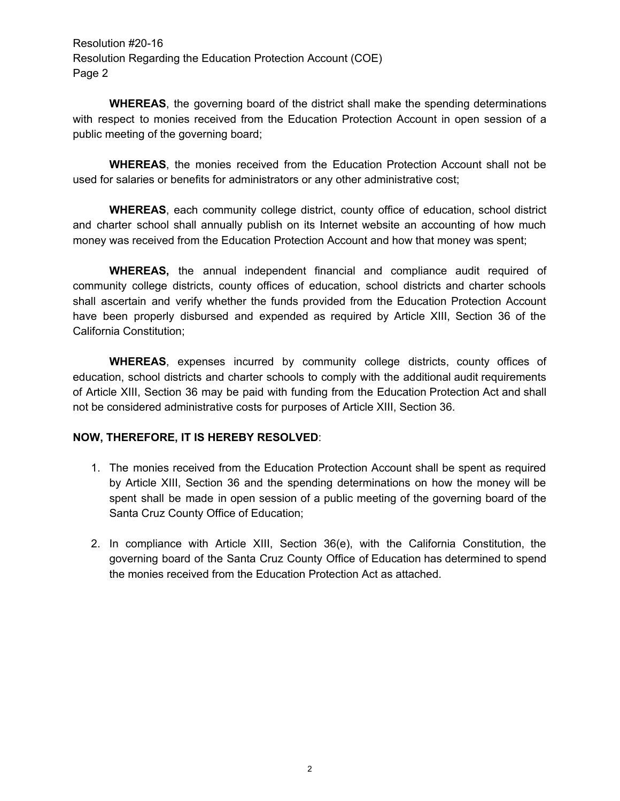Resolution #20-16 Resolution Regarding the Education Protection Account (COE) Page 2

**WHEREAS**, the governing board of the district shall make the spending determinations with respect to monies received from the Education Protection Account in open session of a public meeting of the governing board;

**WHEREAS**, the monies received from the Education Protection Account shall not be used for salaries or benefits for administrators or any other administrative cost;

**WHEREAS**, each community college district, county office of education, school district and charter school shall annually publish on its Internet website an accounting of how much money was received from the Education Protection Account and how that money was spent;

**WHEREAS,** the annual independent financial and compliance audit required of community college districts, county offices of education, school districts and charter schools shall ascertain and verify whether the funds provided from the Education Protection Account have been properly disbursed and expended as required by Article XIII, Section 36 of the California Constitution;

**WHEREAS**, expenses incurred by community college districts, county offices of education, school districts and charter schools to comply with the additional audit requirements of Article XIII, Section 36 may be paid with funding from the Education Protection Act and shall not be considered administrative costs for purposes of Article XIII, Section 36.

## **NOW, THEREFORE, IT IS HEREBY RESOLVED**:

- 1. The monies received from the Education Protection Account shall be spent as required by Article XIII, Section 36 and the spending determinations on how the money will be spent shall be made in open session of a public meeting of the governing board of the Santa Cruz County Office of Education;
- 2. In compliance with Article XIII, Section 36(e), with the California Constitution, the governing board of the Santa Cruz County Office of Education has determined to spend the monies received from the Education Protection Act as attached.